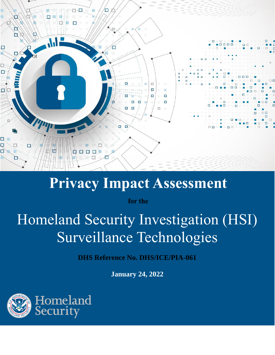

# **Privacy Impact Assessment**

**for the**

# Homeland Security Investigation (HSI) Surveillance Technologies

**DHS Reference No. DHS/ICE/PIA-061**

**January 24, 2022**

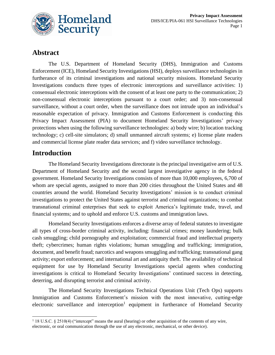

# **Abstract**

The U.S. Department of Homeland Security (DHS), Immigration and Customs Enforcement (ICE), Homeland Security Investigations (HSI), deploys surveillance technologies in furtherance of its criminal investigations and national security missions. Homeland Security Investigations conducts three types of electronic interceptions and surveillance activities: 1) consensual electronic interceptions with the consent of at least one party to the communication; 2) non-consensual electronic interceptions pursuant to a court order; and 3) non-consensual surveillance, without a court order, when the surveillance does not intrude upon an individual's reasonable expectation of privacy. Immigration and Customs Enforcement is conducting this Privacy Impact Assessment (PIA) to document Homeland Security Investigations' privacy protections when using the following surveillance technologies: a) body wire; b) location tracking technology; c) cell-site simulators; d) small unmanned aircraft systems; e) license plate readers and commercial license plate reader data services; and f) video surveillance technology.

# **Introduction**

The Homeland Security Investigations directorate is the principal investigative arm of U.S. Department of Homeland Security and the second largest investigative agency in the federal government. Homeland Security Investigations consists of more than 10,000 employees, 6,700 of whom are special agents, assigned to more than 200 cities throughout the United States and 48 countries around the world. Homeland Security Investigations' mission is to conduct criminal investigations to protect the United States against terrorist and criminal organizations; to combat transnational criminal enterprises that seek to exploit America's legitimate trade, travel, and financial systems; and to uphold and enforce U.S. customs and immigration laws.

Homeland Security Investigations enforces a diverse array of federal statutes to investigate all types of cross-border criminal activity, including: financial crimes; money laundering; bulk cash smuggling; child pornography and exploitation; commercial fraud and intellectual property theft; cybercrimes; human rights violations; human smuggling and trafficking; immigration, document, and benefit fraud; narcotics and weapons smuggling and trafficking; transnational gang activity; export enforcement; and international art and antiquity theft. The availability of technical equipment for use by Homeland Security Investigations special agents when conducting investigations is critical to Homeland Security Investigations' continued success in detecting, deterring, and disrupting terrorist and criminal activity.

The Homeland Security Investigations Technical Operations Unit (Tech Ops) supports Immigration and Customs Enforcement's mission with the most innovative, cutting-edge electronic surveillance and interception<sup>1</sup> equipment in furtherance of Homeland Security

<sup>&</sup>lt;sup>1</sup> 18 U.S.C. § 2510(4) ("intercept" means the aural (hearing) or other acquisition of the contents of any wire, electronic, or oral communication through the use of any electronic, mechanical, or other device).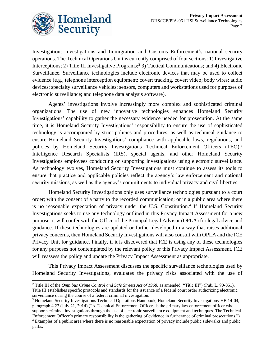

Investigations investigations and Immigration and Customs Enforcement's national security operations. The Technical Operations Unit is currently comprised of four sections: 1) Investigative Interceptions; 2) Title III Investigative Programs; 2 3) Tactical Communications; and 4) Electronic Surveillance. Surveillance technologies include electronic devices that may be used to collect evidence (e.g., telephone interception equipment; covert tracking, covert video; body wires; audio devices; specialty surveillance vehicles; sensors, computers and workstations used for purposes of electronic surveillance; and telephone data analysis software).

Agents' investigations involve increasingly more complex and sophisticated criminal organizations. The use of new innovative technologies enhances Homeland Security Investigations' capability to gather the necessary evidence needed for prosecution. At the same time, it is Homeland Security Investigations' responsibility to ensure the use of sophisticated technology is accompanied by strict policies and procedures, as well as technical guidance to ensure Homeland Security Investigations' compliance with applicable laws, regulations, and policies by Homeland Security Investigations Technical Enforcement Officers (TEO),<sup>3</sup> Intelligence Research Specialists (IRS), special agents, and other Homeland Security Investigations employees conducting or supporting investigations using electronic surveillance. As technology evolves, Homeland Security Investigations must continue to assess its tools to ensure that practice and applicable policies reflect the agency's law enforcement and national security missions, as well as the agency's commitments to individual privacy and civil liberties.

Homeland Security Investigations only uses surveillance technologies pursuant to a court order; with the consent of a party to the recorded communication; or in a public area where there is no reasonable expectation of privacy under the U.S. Constitution.<sup>4</sup> If Homeland Security Investigations seeks to use any technology outlined in this Privacy Impact Assessment for a new purpose, it will confer with the Office of the Principal Legal Advisor (OPLA) for legal advice and guidance. If these technologies are updated or further developed in a way that raises additional privacy concerns, then Homeland Security Investigations will also consult with OPLA and the ICE Privacy Unit for guidance. Finally, if it is discovered that ICE is using any of these technologies for any purposes not contemplated by the relevant policy or this Privacy Impact Assessment, ICE will reassess the policy and update the Privacy Impact Assessment as appropriate.

This Privacy Impact Assessment discusses the specific surveillance technologies used by Homeland Security Investigations, evaluates the privacy risks associated with the use of

<sup>2</sup> Title III of the *Omnibus Crime Control and Safe Streets Act of 1968,* as amended ("Title III") (Pub. L. 90-351). Title III establishes specific protocols and standards for the issuance of a federal court order authorizing electronic surveillance during the course of a federal criminal investigation.

<sup>3</sup> Homeland Security Investigations Technical Operations Handbook, Homeland Security Investigations-HB 14-04, paragraph 4.22 (July 21, 2014) ("A Technical Enforcement Officers is the primary law enforcement officer who supports criminal investigations through the use of electronic surveillance equipment and techniques. The Technical Enforcement Officer's primary responsibility is the gathering of evidence in furtherance of criminal prosecutions.")

<sup>4</sup> Examples of a public area where there is no reasonable expectation of privacy include public sidewalks and public parks.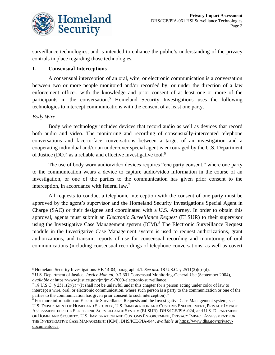

surveillance technologies, and is intended to enhance the public's understanding of the privacy controls in place regarding those technologies.

#### **I. Consensual Interceptions**

A consensual interception of an oral, wire, or electronic communication is a conversation between two or more people monitored and/or recorded by, or under the direction of a law enforcement officer, with the knowledge and prior consent of at least one or more of the participants in the conversation.<sup>5</sup> Homeland Security Investigations uses the following technologies to intercept communications with the consent of at least one party.

#### *Body Wire*

Body wire technology includes devices that record audio as well as devices that record both audio and video. The monitoring and recording of consensually-intercepted telephone conversations and face-to-face conversations between a target of an investigation and a cooperating individual and/or an undercover special agent is encouraged by the U.S. Department of Justice (DOJ) as a reliable and effective investigative tool.<sup>6</sup>

The use of body worn audio/video devices requires "one party consent," where one party to the communication wears a device to capture audio/video information in the course of an investigation, or one of the parties to the communication has given prior consent to the interception, in accordance with federal law. 7

All requests to conduct a telephonic interception with the consent of one party must be approved by the agent's supervisor and the Homeland Security Investigations Special Agent in Charge (SAC) or their designee and coordinated with a U.S. Attorney. In order to obtain this approval, agents must submit an *Electronic Surveillance Request* (ELSUR) to their supervisor using the Investigative Case Management system (ICM).<sup>8</sup> The Electronic Surveillance Request module in the Investigative Case Management system is used to request authorizations, grant authorizations, and transmit reports of use for consensual recording and monitoring of oral communications (including consensual recordings of telephone conversations, as well as covert

<sup>5</sup> Homeland Security Investigations-HB 14-04, paragraph 4.1. *See also* 18 U.S.C. § 2511(2)(c)-(d).

<sup>6</sup> U.S. Department of Justice, *Justice Manual*, 9-7.301 Consensual Monitoring-General Use (September 2004), *available at* [https://www.justice.gov/jm/jm-9-7000-electronic-surveillance.](https://www.justice.gov/jm/jm-9-7000-electronic-surveillance) 

<sup>7</sup> 18 U.S.C. § 2511(2)(c) "(It shall not be unlawful under this chapter for a person acting under color of law to intercept a wire, oral, or electronic communication, where such person is a party to the communication or one of the parties to the communication has given prior consent to such interception)."

<sup>8</sup> For more information on Electronic Surveillance Requests and the Investigative Case Management system, *see*  U.S. DEPARTMENT OF HOMELAND SECURITY, U.S. IMMIGRATION AND CUSTOMS ENFORCEMENT, PRIVACY IMPACT ASSESSMENT FOR THE ELECTRONIC SURVEILLANCE SYSTEM (ELSUR), DHS/ICE/PIA-024, and U.S. DEPARTMENT OF HOMELAND SECURITY, U.S. IMMIGRATION AND CUSTOMS ENFORCEMENT, PRIVACY IMPACT ASSESSMENT FOR THE INVESTIGATIVE CASE MANAGEMENT (ICM), DHS/ICE/PIA-044, *available at* [https://www.dhs.gov/privacy](https://www.dhs.gov/privacy-documents-ice)[documents-ice.](https://www.dhs.gov/privacy-documents-ice)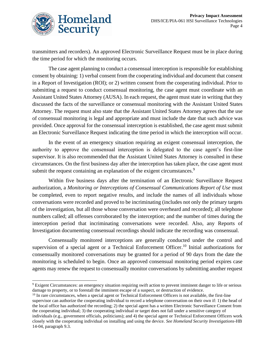

transmitters and recorders). An approved Electronic Surveillance Request must be in place during the time period for which the monitoring occurs.

The case agent planning to conduct a consensual interception is responsible for establishing consent by obtaining: 1) verbal consent from the cooperating individual and document that consent in a Report of Investigation (ROI); or 2) written consent from the cooperating individual. Prior to submitting a request to conduct consensual monitoring, the case agent must coordinate with an Assistant United States Attorney (AUSA). In each request, the agent must state in writing that they discussed the facts of the surveillance or consensual monitoring with the Assistant United States Attorney. The request must also state that the Assistant United States Attorney agrees that the use of consensual monitoring is legal and appropriate and must include the date that such advice was provided. Once approval for the consensual interception is established, the case agent must submit an Electronic Surveillance Request indicating the time period in which the interception will occur.

In the event of an emergency situation requiring an exigent consensual interception, the authority to approve the consensual interception is delegated to the case agent's first-line supervisor. It is also recommended that the Assistant United States Attorney is consulted in these circumstances. On the first business day after the interception has taken place, the case agent must submit the request containing an explanation of the exigent circumstances.<sup>9</sup>

Within five business days after the termination of an Electronic Surveillance Request authorization, a *Monitoring or Interceptions of Consensual Communications Report of Use* must be completed, even to report negative results, and include the names of all individuals whose conversations were recorded and proved to be incriminating (includes not only the primary targets of the investigation, but all those whose conversation were overheard and recorded); all telephone numbers called; all offenses corroborated by the interception; and the number of times during the interception period that incriminating conversations were recorded. Also, any Reports of Investigation documenting consensual recordings should indicate the recording was consensual.

Consensually monitored interceptions are generally conducted under the control and supervision of a special agent or a Technical Enforcement Officer.<sup>10</sup> Initial authorizations for consensually monitored conversations may be granted for a period of 90 days from the date the monitoring is scheduled to begin. Once an approved consensual monitoring period expires case agents may renew the request to consensually monitor conversations by submitting another request

 $10$  In rare circumstances, when a special agent or Technical Enforcement Officers is not available, the first-line supervisor can authorize the cooperating individual to record a telephone conversation on their own if: 1) the head of the local office has authorized the recording; 2) the special agent has a written Electronic Surveillance Consent from the cooperating individual; 3) the cooperating individual or target does not fall under a sensitive category of

<sup>9</sup> Exigent Circumstances: an emergency situation requiring swift action to prevent imminent danger to life or serious damage to property, or to forestall the imminent escape of a suspect, or destruction of evidence.

individuals (e.g., government officials, politicians); and 4) the special agent or Technical Enforcement Officers work closely with the cooperating individual on installing and using the device. *See Homeland Security Investigations*-HB 14-04, paragraph 9.3.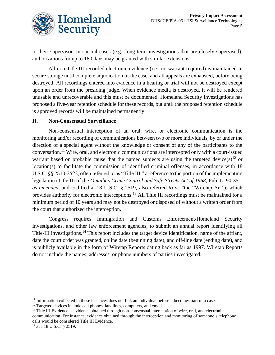

to their supervisor. In special cases (e.g., long-term investigations that are closely supervised), authorizations for up to 180 days may be granted with similar extensions.

All non-Title III recorded electronic evidence (i.e., no warrant required) is maintained in secure storage until complete adjudication of the case, and all appeals are exhausted, before being destroyed. All recordings entered into evidence in a hearing or trial will not be destroyed except upon an order from the presiding judge. When evidence media is destroyed, it will be rendered unusable and unrecoverable and this must be documented. Homeland Security Investigations has proposed a five-year retention schedule for these records, but until the proposed retention schedule is approved records will be maintained permanently.

## **II. Non-Consensual Surveillance**

Non-consensual interception of an oral, wire, or electronic communication is the monitoring and/or recording of communications between two or more individuals, by or under the direction of a special agent without the knowledge or consent of any of the participants to the conversation.<sup>11</sup> Wire, oral, and electronic communications are intercepted only with a court-issued warrant based on probable cause that the named subjects are using the targeted device(s)<sup>12</sup> or location(s) to facilitate the commission of identified criminal offenses, in accordance with 18 U.S.C. §§ 2510-2522, often referred to as "Title III," a reference to the portion of the implementing legislation (Title III of the *Omnibus Crime Control and Safe Streets Act of 1968*, Pub. L. 90-351, *as amended*, and codified at 18 U.S.C. § 2519, also referred *to as* "the "Wiretap Act"), which provides authority for electronic interceptions.<sup>13</sup> All Title III recordings must be maintained for a minimum period of 10 years and may not be destroyed or disposed of without a written order from the court that authorized the interception.

Congress requires Immigration and Customs Enforcement/Homeland Security Investigations, and other law enforcement agencies, to submit an annual report identifying all Title-III investigations.<sup>14</sup> This report includes the target device identification, name of the affiant, date the court order was granted, online date (beginning date), and off-line date (ending date), and is publicly available in the form of Wiretap Reports dating back as far as 1997. Wiretap Reports do not include the names, addresses, or phone numbers of parties investigated.

 $11$  Information collected in these instances does not link an individual before it becomes part of a case.

<sup>&</sup>lt;sup>12</sup> Targeted devices include cell phones, landlines, computers, and emails.

<sup>&</sup>lt;sup>13</sup> Title III Evidence is evidence obtained through non-consensual interception of wire, oral, and electronic communication. For instance, evidence obtained through the interception and monitoring of someone's telephone calls would be considered Title III Evidence.

<sup>14</sup> *See* 18 U.S.C. § 2519.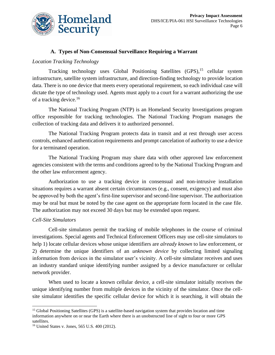

### **A. Types of Non-Consensual Surveillance Requiring a Warrant**

#### *Location Tracking Technology*

Tracking technology uses Global Positioning Satellites (GPS), <sup>15</sup> cellular system infrastructure, satellite system infrastructure, and direction-finding technology to provide location data. There is no one device that meets every operational requirement, so each individual case will dictate the type of technology used. Agents must apply to a court for a warrant authorizing the use of a tracking device.<sup>16</sup>

The National Tracking Program (NTP) is an Homeland Security Investigations program office responsible for tracking technologies. The National Tracking Program manages the collection of tracking data and delivers it to authorized personnel.

The National Tracking Program protects data in transit and at rest through user access controls, enhanced authentication requirements and prompt cancelation of authority to use a device for a terminated operation.

The National Tracking Program may share data with other approved law enforcement agencies consistent with the terms and conditions agreed to by the National Tracking Program and the other law enforcement agency.

Authorization to use a tracking device in consensual and non-intrusive installation situations requires a warrant absent certain circumstances (e.g., consent, exigency) and must also be approved by both the agent's first-line supervisor and second-line supervisor. The authorization may be oral but must be noted by the case agent on the appropriate form located in the case file. The authorization may not exceed 30 days but may be extended upon request.

#### *Cell-Site Simulators*

Cell-site simulators permit the tracking of mobile telephones in the course of criminal investigations. Special agents and Technical Enforcement Officers may use cell-site simulators to help 1) locate cellular devices whose unique identifiers are *already known* to law enforcement, or 2) determine the unique identifiers of an *unknown device* by collecting limited signaling information from devices in the simulator user's vicinity. A cell-site simulator receives and uses an industry standard unique identifying number assigned by a device manufacturer or cellular network provider.

When used to locate a known cellular device, a cell-site simulator initially receives the unique identifying number from multiple devices in the vicinity of the simulator. Once the cellsite simulator identifies the specific cellular device for which it is searching, it will obtain the

<sup>&</sup>lt;sup>15</sup> Global Positioning Satellites (GPS) is a satellite-based navigation system that provides location and time information anywhere on or near the Earth where there is an unobstructed line of sight to four or more GPS satellites.

<sup>16</sup> United States v. Jones, 565 U.S. 400 (2012).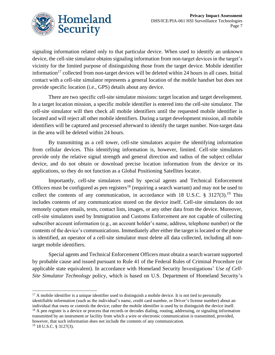

signaling information related only to that particular device. When used to identify an unknown device, the cell-site simulator obtains signaling information from non-target devices in the target's vicinity for the limited purpose of distinguishing those from the target device. Mobile identifier information<sup>17</sup> collected from non-target devices will be deleted within 24 hours in all cases. Initial contact with a cell-site simulator represents a general location of the mobile handset but does not provide specific location (i.e., GPS) details about any device.

There are two specific cell-site simulator missions: target location and target development. In a target location mission, a specific mobile identifier is entered into the cell-site simulator. The cell-site simulator will then check all mobile identifiers until the requested mobile identifier is located and will reject all other mobile identifiers. During a target development mission, all mobile identifiers will be captured and processed afterward to identify the target number. Non-target data in the area will be deleted within 24 hours.

By transmitting as a cell tower, cell-site simulators acquire the identifying information from cellular devices. This identifying information is, however, limited. Cell-site simulators provide only the relative signal strength and general direction and radius of the subject cellular device, and do not obtain or download precise location information from the device or its applications, so they do not function as a Global Positioning Satellites locator.

Importantly, cell-site simulators used by special agents and Technical Enforcement Officers must be configured as pen registers<sup>18</sup> (requiring a search warrant) and may not be used to collect the contents of any communication, in accordance with 18 U.S.C.  $\S$  3127(3).<sup>19</sup> This includes contents of any communication stored on the device itself. Cell-site simulators do not remotely capture emails, texts, contact lists, images, or any other data from the device. Moreover, cell-site simulators used by Immigration and Customs Enforcement are not capable of collecting subscriber account information (e.g., an account holder's name, address, telephone number) or the contents of the device's communications. Immediately after either the target is located or the phone is identified, an operator of a cell-site simulator must delete all data collected, including all nontarget mobile identifiers.

Special agents and Technical Enforcement Officers must obtain a search warrant supported by probable cause and issued pursuant to Rule 41 of the Federal Rules of Criminal Procedure (or applicable state equivalent). In accordance with Homeland Security Investigations' *Use of Cell-Site Simulator Technology* policy, which is based on U.S. Department of Homeland Security's

 $17$  A mobile identifier is a unique identifier used to distinguish a mobile device. It is not tied to personally identifiable information (such as the individual's name, credit card number, or Driver's license number) about an individual that owns or controls the device; rather the mobile identifier is used by to distinguish the device itself. <sup>18</sup> A pen register is a device or process that records or decodes dialing, routing, addressing, or signaling information transmitted by an instrument or facility from which a wire or electronic communication is transmitted, provided, however, that such information does not include the contents of any communication.

<sup>19</sup> 18 U.S.C. § 3127(3).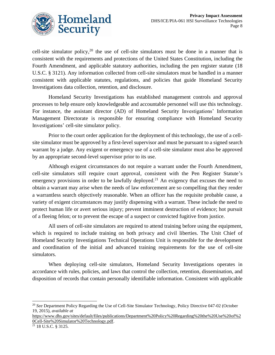

cell-site simulator policy,<sup>20</sup> the use of cell-site simulators must be done in a manner that is consistent with the requirements and protections of the United States Constitution, including the Fourth Amendment, and applicable statutory authorities, including the pen register statute (18 U.S.C. § 3121). Any information collected from cell-site simulators must be handled in a manner consistent with applicable statutes, regulations, and policies that guide Homeland Security Investigations data collection, retention, and disclosure.

Homeland Security Investigations has established management controls and approval processes to help ensure only knowledgeable and accountable personnel will use this technology. For instance, the assistant director (AD) of Homeland Security Investigations' Information Management Directorate is responsible for ensuring compliance with Homeland Security Investigations' cell-site simulator policy.

Prior to the court order application for the deployment of this technology, the use of a cellsite simulator must be approved by a first-level supervisor and must be pursuant to a signed search warrant by a judge. Any exigent or emergency use of a cell-site simulator must also be approved by an appropriate second-level supervisor prior to its use.

Although exigent circumstances do not require a warrant under the Fourth Amendment, cell-site simulators still require court approval, consistent with the Pen Register Statute's emergency provisions in order to be lawfully deployed.<sup>21</sup> An exigency that excuses the need to obtain a warrant may arise when the needs of law enforcement are so compelling that they render a warrantless search objectively reasonable. When an officer has the requisite probable cause, a variety of exigent circumstances may justify dispensing with a warrant. These include the need to protect human life or avert serious injury; prevent imminent destruction of evidence; hot pursuit of a fleeing felon; or to prevent the escape of a suspect or convicted fugitive from justice.

All users of cell-site simulators are required to attend training before using the equipment, which is required to include training on both privacy and civil liberties. The Unit Chief of Homeland Security Investigations Technical Operations Unit is responsible for the development and coordination of the initial and advanced training requirements for the use of cell-site simulators.

When deploying cell-site simulators, Homeland Security Investigations operates in accordance with rules, policies, and laws that control the collection, retention, dissemination, and disposition of records that contain personally identifiable information. Consistent with applicable

<sup>20</sup> *See* Department Policy Regarding the Use of Cell-Site Simulator Technology, Policy Directive 047-02 (October 19, 2015), *available at* 

[https://www.dhs.gov/sites/default/files/publications/Department%20Policy%20Regarding%20the%20Use%20of%2](https://www.dhs.gov/sites/default/files/publications/Department%20Policy%20Regarding%20the%20Use%20of%20Cell-Site%20Simulator%20Technology.pdf) [0Cell-Site%20Simulator%20Technology.pdf.](https://www.dhs.gov/sites/default/files/publications/Department%20Policy%20Regarding%20the%20Use%20of%20Cell-Site%20Simulator%20Technology.pdf)

<sup>21</sup> 18 U.S.C. § 3125.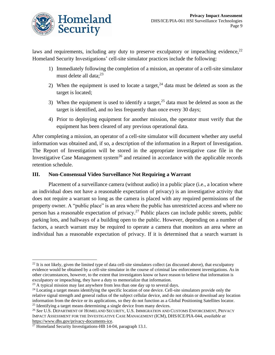

laws and requirements, including any duty to preserve exculpatory or impeaching evidence, $2<sup>2</sup>$ Homeland Security Investigations' cell-site simulator practices include the following:

- 1) Immediately following the completion of a mission, an operator of a cell-site simulator must delete all data; 23
- 2) When the equipment is used to locate a target,  $24$  data must be deleted as soon as the target is located;
- 3) When the equipment is used to identify a target,  $2<sup>5</sup>$  data must be deleted as soon as the target is identified, and no less frequently than once every 30 days;
- 4) Prior to deploying equipment for another mission, the operator must verify that the equipment has been cleared of any previous operational data.

After completing a mission, an operator of a cell-site simulator will document whether any useful information was obtained and, if so, a description of the information in a Report of Investigation. The Report of Investigation will be stored in the appropriate investigative case file in the Investigative Case Management system<sup>26</sup> and retained in accordance with the applicable records retention schedule.

## **III. Non-Consensual Video Surveillance Not Requiring a Warrant**

Placement of a surveillance camera (without audio) in a public place (i.e., a location where an individual does not have a reasonable expectation of privacy) is an investigative activity that does not require a warrant so long as the camera is placed with any required permissions of the property owner. A "public place" is an area where the public has unrestricted access and where no person has a reasonable expectation of privacy.<sup>27</sup> Public places can include public streets, public parking lots, and hallways of a building open to the public. However, depending on a number of factors, a search warrant may be required to operate a camera that monitors an area where an individual has a reasonable expectation of privacy. If it is determined that a search warrant is

 $^{22}$  It is not likely, given the limited type of data cell-site simulators collect (as discussed above), that exculpatory evidence would be obtained by a cell-site simulator in the course of criminal law enforcement investigations. As in other circumstances, however, to the extent that investigators know or have reason to believe that information is exculpatory or impeaching, they have a duty to memorialize that information.

<sup>&</sup>lt;sup>23</sup> A typical mission may last anywhere from less than one day up to several days.

<sup>&</sup>lt;sup>24</sup> Locating a target means identifying the specific location of one device. Cell-site simulators provide only the relative signal strength and general radius of the subject cellular device, and do not obtain or download any location information from the device or its applications, so they do not function as a Global Positioning Satellites locator. <sup>25</sup> Identifying a target means determining a single device from many devices.

<sup>26</sup> *See* U.S. DEPARTMENT OF HOMELAND SECURITY, U.S. IMMIGRATION AND CUSTOMS ENFORCEMENT, PRIVACY IMPACT ASSESSMENT FOR THE INVESTIGATIVE CASE MANAGEMENT (ICM), DHS/ICE/PIA-044, *available at* [https://www.dhs.gov/privacy-documents-ice.](https://www.dhs.gov/privacy-documents-ice)

 $^{27}$  Homeland Security Investigations-HB 14-04, paragraph 13.1.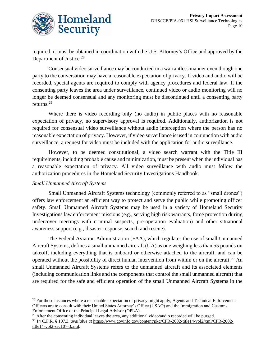

required, it must be obtained in coordination with the U.S. Attorney's Office and approved by the Department of Justice.<sup>28</sup>

Consensual video surveillance may be conducted in a warrantless manner even though one party to the conversation may have a reasonable expectation of privacy. If video and audio will be recorded, special agents are required to comply with agency procedures and federal law. If the consenting party leaves the area under surveillance, continued video or audio monitoring will no longer be deemed consensual and any monitoring must be discontinued until a consenting party returns. 29

Where there is video recording only (no audio) in public places with no reasonable expectation of privacy, no supervisory approval is required. Additionally, authorization is not required for consensual video surveillance without audio interception where the person has no reasonable expectation of privacy. However, if video surveillance is used in conjunction with audio surveillance, a request for video must be included with the application for audio surveillance.

However, to be deemed constitutional, a video search warrant with the Title III requirements, including probable cause and minimization, must be present when the individual has a reasonable expectation of privacy. All video surveillance with audio must follow the authorization procedures in the Homeland Security Investigations Handbook.

#### *Small Unmanned Aircraft Systems*

Small Unmanned Aircraft Systems technology (commonly referred to as "small drones") offers law enforcement an efficient way to protect and serve the public while promoting officer safety. Small Unmanned Aircraft Systems may be used in a variety of Homeland Security Investigations law enforcement missions (e.g., serving high risk warrants, force protection during undercover meetings with criminal suspects, pre-operation evaluation) and other situational awareness support (e.g., disaster response, search and rescue).

The Federal Aviation Administration (FAA), which regulates the use of small Unmanned Aircraft Systems, defines a small unmanned aircraft (UA) as one weighing less than 55 pounds on takeoff, including everything that is onboard or otherwise attached to the aircraft, and can be operated without the possibility of direct human intervention from within or on the aircraft.<sup>30</sup> An small Unmanned Aircraft Systems refers to the unmanned aircraft and its associated elements (including communication links and the components that control the small unmanned aircraft) that are required for the safe and efficient operation of the small Unmanned Aircraft Systems in the

<sup>&</sup>lt;sup>28</sup> For those instances where a reasonable expectation of privacy might apply, Agents and Technical Enforcement Officers are to consult with their United States Attorney's Office (USAO) and the Immigration and Customs Enforcement Office of the Principal Legal Advisor (OPLA).

 $29$  After the consenting individual leaves the area, any additional video/audio recorded will be purged. <sup>30</sup> 14 C.F.R. § 107.3, *available at* [https://www.govinfo.gov/content/pkg/CFR-2002-title14-vol2/xml/CFR-2002](https://www.govinfo.gov/content/pkg/CFR-2002-title14-vol2/xml/CFR-2002-title14-vol2-sec107-3.xml) [title14-vol2-sec107-3.xml.](https://www.govinfo.gov/content/pkg/CFR-2002-title14-vol2/xml/CFR-2002-title14-vol2-sec107-3.xml)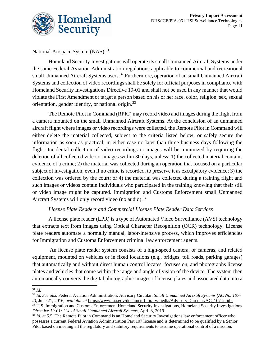

National Airspace System (NAS).<sup>31</sup>

Homeland Security Investigations will operate its small Unmanned Aircraft Systems under the same Federal Aviation Administration regulations applicable to commercial and recreational small Unmanned Aircraft Systems users.<sup>32</sup> Furthermore, operation of an small Unmanned Aircraft Systems and collection of video recordings shall be solely for official purposes in compliance with Homeland Security Investigations Directive 19-01 and shall not be used in any manner that would violate the First Amendment or target a person based on his or her race, color, religion, sex, sexual orientation, gender identity, or national origin.<sup>33</sup>

The Remote Pilot in Command (RPIC) may record video and images during the flight from a camera mounted on the small Unmanned Aircraft Systems. At the conclusion of an unmanned aircraft flight where images or video recordings were collected, the Remote Pilot in Command will either delete the material collected, subject to the criteria listed below, or safely secure the information as soon as practical, in either case no later than three business days following the flight. Incidental collection of video recordings or images will be minimized by requiring the deletion of all collected video or images within 30 days, unless: 1) the collected material contains evidence of a crime; 2) the material was collected during an operation that focused on a particular subject of investigation, even if no crime is recorded, to preserve it as exculpatory evidence; 3) the collection was ordered by the court; or 4) the material was collected during a training flight and such images or videos contain individuals who participated in the training knowing that their still or video image might be captured. Immigration and Customs Enforcement small Unmanned Aircraft Systems will only record video (no audio).<sup>34</sup>

## *License Plate Readers and Commercial License Plate Reader Data Services*

A license plate reader (LPR) is a type of Automated Video Surveillance (AVS) technology that extracts text from images using Optical Character Recognition (OCR) technology. License plate readers automate a normally manual, labor-intensive process, which improves efficiencies for Immigration and Customs Enforcement criminal law enforcement agents.

An license plate reader system consists of a high-speed camera, or cameras, and related equipment, mounted on vehicles or in fixed locations (e.g., bridges, toll roads, parking garages) that automatically and without direct human control locates, focuses on, and photographs license plates and vehicles that come within the range and angle of vision of the device. The system then automatically converts the digital photographic images of license plates and associated data into a

<sup>31</sup> *Id.*

<sup>32</sup> *Id. See also* Federal Aviation Administration, Advisory Circular, *Small Unmanned Aircraft Systems (AC No. 107- 2),* June 21, 2016, *available at* [https://www.faa.gov/documentLibrary/media/Advisory\\_Circular/AC\\_107-2.pdf.](https://www.faa.gov/documentLibrary/media/Advisory_Circular/AC_107-2.pdf)

<sup>&</sup>lt;sup>33</sup> U.S. Immigration and Customs Enforcement Homeland Security Investigations, Homeland Security Investigations *Directive 19-01: Use of Small Unmanned Aircraft Systems*, April 3, 2019.

<sup>&</sup>lt;sup>34</sup> *Id.* at 5.5. The Remote Pilot in Command is an Homeland Security Investigations law enforcement officer who possesses a current Federal Aviation Administration Part 107 license and is determined to be qualified by a Senior Pilot based on meeting all the regulatory and statutory requirements to assume operational control of a mission.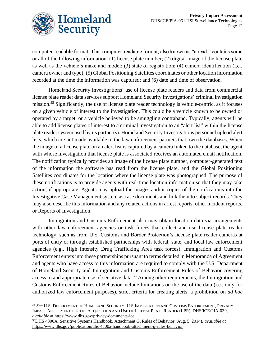

computer-readable format. This computer-readable format, also known as "a read," contains some or all of the following information: (1) license plate number; (2) digital image of the license plate as well as the vehicle's make and model; (3) state of registration; (4) camera identification (i.e., camera owner and type); (5) Global Positioning Satellites coordinates or other location information recorded at the time the information was captured; and (6) date and time of observation.

Homeland Security Investigations' use of license plate readers and data from commercial license plate reader data services support Homeland Security Investigations' criminal investigation mission.<sup>35</sup> Significantly, the use of license plate reader technology is vehicle-centric, as it focuses on a given vehicle of interest to the investigation. This could be a vehicle known to be owned or operated by a target, or a vehicle believed to be smuggling contraband. Typically, agents will be able to add license plates of interest to a criminal investigation to an "alert list" within the license plate reader system used by its partner(s). Homeland Security Investigations personnel upload alert lists, which are not made available to the law enforcement partners that own the databases. When the image of a license plate on an alert list is captured by a camera linked to the database, the agent with whose investigation that license plate is associated receives an automated email notification. The notification typically provides an image of the license plate number, computer-generated text of the information the software has read from the license plate, and the Global Positioning Satellites coordinates for the location where the license plate was photographed. The purpose of these notifications is to provide agents with real-time location information so that they may take action, if appropriate. Agents may upload the images and/or copies of the notifications into the Investigative Case Management system as case documents and link them to subject records. They may also describe this information and any related actions in arrest reports, other incident reports, or Reports of Investigation.

Immigration and Customs Enforcement also may obtain location data via arrangements with other law enforcement agencies or task forces that collect and use license plate reader technology, such as from U.S. Customs and Border Protection's license plate reader cameras at ports of entry or through established partnerships with federal, state, and local law enforcement agencies (e.g., High Intensity Drug Trafficking Area task forces). Immigration and Customs Enforcement enters into these partnerships pursuant to terms detailed in Memoranda of Agreement and agents who have access to this information are required to comply with the U.S. Department of Homeland Security and Immigration and Customs Enforcement Rules of Behavior covering access to and appropriate use of sensitive data.<sup>36</sup> Among other requirements, the Immigration and Customs Enforcement Rules of Behavior include limitations on the use of the data (i.e., only for authorized law enforcement purposes), strict criteria for creating alerts, a prohibition on *ad hoc* 

<sup>35</sup> *See* U.S. DEPARTMENT OF HOMELAND SECURITY, U.S IMMIGRATION AND CUSTOMS ENFORCEMENT, PRIVACY IMPACT ASSESSMENT FOR THE ACQUISITION AND USE OF LICENSE PLATE READER (LPR), DHS/ICE/PIA-039, *available* a[t https://www.dhs.gov/privacy-documents-ice.](https://www.dhs.gov/privacy-documents-ice)

<sup>36</sup>DHS 4300A, Sensitive Systems Handbook, Attachment G, Rules of Behavior (Aug. 5, 2014), *available at* <https://www.dhs.gov/publication/dhs-4300a-handbook-attachment-g-rules-behavior>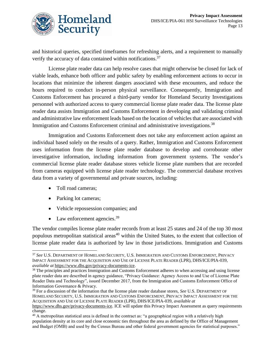

and historical queries, specified timeframes for refreshing alerts, and a requirement to manually verify the accuracy of data contained within notifications.<sup>37</sup>

License plate reader data can help resolve cases that might otherwise be closed for lack of viable leads, enhance both officer and public safety by enabling enforcement actions to occur in locations that minimize the inherent dangers associated with these encounters, and reduce the hours required to conduct in-person physical surveillance. Consequently, Immigration and Customs Enforcement has procured a third-party vendor for Homeland Security Investigations personnel with authorized access to query commercial license plate reader data. The license plate reader data assists Immigration and Customs Enforcement in developing and validating criminal and administrative law enforcement leads based on the location of vehicles that are associated with Immigration and Customs Enforcement criminal and administrative investigations.<sup>38</sup>

Immigration and Customs Enforcement does not take any enforcement action against an individual based solely on the results of a query. Rather, Immigration and Customs Enforcement uses information from the license plate reader database to develop and corroborate other investigative information, including information from government systems. The vendor's commercial license plate reader database stores vehicle license plate numbers that are recorded from cameras equipped with license plate reader technology. The commercial database receives data from a variety of governmental and private sources, including:

- Toll road cameras:
- Parking lot cameras;
- Vehicle repossession companies; and
- Law enforcement agencies. $39$

The vendor compiles license plate reader records from at least 25 states and 24 of the top 30 most populous metropolitan statistical areas<sup>40</sup> within the United States, to the extent that collection of license plate reader data is authorized by law in those jurisdictions. Immigration and Customs

<sup>37</sup> *See* U.S. DEPARTMENT OF HOMELAND SECURITY, U.S. IMMIGRATION AND CUSTOMS ENFORCEMENT, PRIVACY IMPACT ASSESSMENT FOR THE ACQUISITION AND USE OF LICENSE PLATE READER (LPR), DHS/ICE/PIA-039, *available at* [https://www.dhs.gov/privacy-documents-ice.](https://www.dhs.gov/privacy-documents-ice)

<sup>&</sup>lt;sup>38</sup> The principles and practices Immigration and Customs Enforcement adheres to when accessing and using license plate reader data are described in agency guidance, "Privacy Guidance: Agency Access to and Use of License Plate Reader Data and Technology", issued December 2017, from the Immigration and Customs Enforcement Office of Information Governance & Privacy.

<sup>39</sup> For a discussion of the information that the license plate reader database stores, *See* U.S. DEPARTMENT OF HOMELAND SECURITY, U.S. IMMIGRATION AND CUSTOMS ENFORCEMENT, PRIVACY IMPACT ASSESSMENT FOR THE ACQUISITION AND USE OF LICENSE PLATE READER (LPR), DHS/ICE/PIA-039, *available at* 

[https://www.dhs.gov/privacy-documents-ice.](https://www.dhs.gov/privacy-documents-ice) ICE will update this Privacy Impact Assessment as query requirements change.

<sup>&</sup>lt;sup>40</sup> A metropolitan statistical area is defined in the contract as: "a geographical region with a relatively high population density at its core and close economic ties throughout the area as defined by the Office of Management and Budget (OMB) and used by the Census Bureau and other federal government agencies for statistical purposes."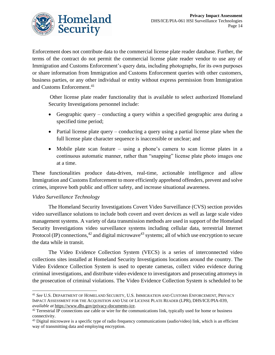

Enforcement does not contribute data to the commercial license plate reader database. Further, the terms of the contract do not permit the commercial license plate reader vendor to use any of Immigration and Customs Enforcement's query data, including photographs, for its own purposes or share information from Immigration and Customs Enforcement queries with other customers, business parties, or any other individual or entity without express permission from Immigration and Customs Enforcement. 41

Other license plate reader functionality that is available to select authorized Homeland Security Investigations personnel include:

- Geographic query conducting a query within a specified geographic area during a specified time period;
- Partial license plate query conducting a query using a partial license plate when the full license plate character sequence is inaccessible or unclear; and
- Mobile plate scan feature using a phone's camera to scan license plates in a continuous automatic manner, rather than "snapping" license plate photo images one at a time.

These functionalities produce data-driven, real-time, actionable intelligence and allow Immigration and Customs Enforcement to more efficiently apprehend offenders, prevent and solve crimes, improve both public and officer safety, and increase situational awareness.

## *Video Surveillance Technology*

The Homeland Security Investigations Covert Video Surveillance (CVS) section provides video surveillance solutions to include both covert and overt devices as well as large scale video management systems. A variety of data transmission methods are used in support of the Homeland Security Investigations video surveillance systems including cellular data, terrestrial Internet Protocol (IP) connections,  $42$  and digital microwave  $43$  systems; all of which use encryption to secure the data while in transit.

The Video Evidence Collection System (VECS) is a series of interconnected video collections sites installed at Homeland Security Investigations locations around the country. The Video Evidence Collection System is used to operate cameras, collect video evidence during criminal investigations, and distribute video evidence to investigators and prosecuting attorneys in the prosecution of criminal violations. The Video Evidence Collection System is scheduled to be

<sup>41</sup> *See* U.S. DEPARTMENT OF HOMELAND SECURITY, U.S. IMMIGRATION AND CUSTOMS ENFORCEMENT, PRIVACY IMPACT ASSESSMENT FOR THE ACQUISITION AND USE OF LICENSE PLATE READER (LPR), DHS/ICE/PIA-039, *available at* [https://www.dhs.gov/privacy-documents-ice.](https://www.dhs.gov/privacy-documents-ice)

 $42$  Terrestrial IP connections use cable or wire for the communications link, typically used for home or business connectivity.

 $43$  Digital microwave is a specific type of radio frequency communications (audio/video) link, which is an efficient way of transmitting data and employing encryption.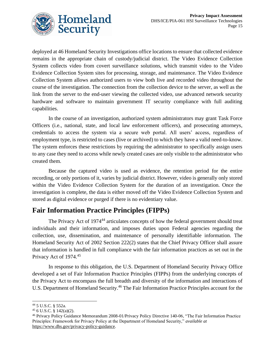

deployed at 46 Homeland Security Investigations office locations to ensure that collected evidence remains in the appropriate chain of custody/judicial district. The Video Evidence Collection System collects video from covert surveillance solutions, which transmit video to the Video Evidence Collection System sites for processing, storage, and maintenance. The Video Evidence Collection System allows authorized users to view both live and recorded video throughout the course of the investigation. The connection from the collection device to the server, as well as the link from the server to the end-user viewing the collected video, use advanced network security hardware and software to maintain government IT security compliance with full auditing capabilities.

In the course of an investigation, authorized system administrators may grant Task Force Officers (i.e., national, state, and local law enforcement officers), and prosecuting attorneys, credentials to access the system via a secure web portal. All users' access, regardless of employment type, is restricted to cases (live or archived) to which they have a valid need-to-know. The system enforces these restrictions by requiring the administrator to specifically assign users to any case they need to access while newly created cases are only visible to the administrator who created them.

Because the captured video is used as evidence, the retention period for the entire recording, or only portions of it, varies by judicial district. However, video is generally only stored within the Video Evidence Collection System for the duration of an investigation. Once the investigation is complete, the data is either moved off the Video Evidence Collection System and stored as digital evidence or purged if there is no evidentiary value.

# **Fair Information Practice Principles (FIPPs)**

The Privacy Act of 1974<sup>44</sup> articulates concepts of how the federal government should treat individuals and their information, and imposes duties upon Federal agencies regarding the collection, use, dissemination, and maintenance of personally identifiable information. The Homeland Security Act of 2002 Section 222(2) states that the Chief Privacy Officer shall assure that information is handled in full compliance with the fair information practices as set out in the Privacy Act of 1974.<sup>45</sup>

In response to this obligation, the U.S. Department of Homeland Security Privacy Office developed a set of Fair Information Practice Principles (FIPPs) from the underlying concepts of the Privacy Act to encompass the full breadth and diversity of the information and interactions of U.S. Department of Homeland Security. <sup>46</sup> The Fair Information Practice Principles account for the

<sup>44</sup> 5 U.S.C. § 552a.

<sup>45</sup> 6 U.S.C. § 142(a)(2).

<sup>46</sup> Privacy Policy Guidance Memorandum 2008-01/Privacy Policy Directive 140-06, "The Fair Information Practice Principles: Framework for Privacy Policy at the Department of Homeland Security," *available at* [https://www.dhs.gov/privacy-policy-guidance.](https://www.dhs.gov/privacy-policy-guidance)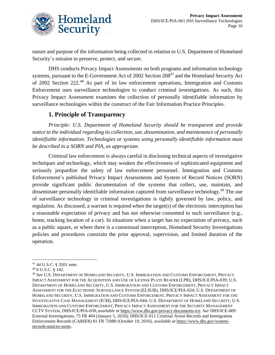

nature and purpose of the information being collected in relation to U.S. Department of Homeland Security's mission to preserve, protect, and secure.

DHS conducts Privacy Impact Assessments on both programs and information technology systems, pursuant to the E-Government Act of 2002 Section 208<sup>47</sup> and the Homeland Security Act of 2002 Section 222.<sup>48</sup> As part of its law enforcement operations, Immigration and Customs Enforcement uses surveillance technologies to conduct criminal investigations. As such, this Privacy Impact Assessment examines the collection of personally identifiable information by surveillance technologies within the construct of the Fair Information Practice Principles.

## **1. Principle of Transparency**

*Principle: U.S. Department of Homeland Security should be transparent and provide notice to the individual regarding its collection, use, dissemination, and maintenance of personally identifiable information. Technologies or systems using personally identifiable information must be described in a SORN and PIA, as appropriate.* 

Criminal law enforcement is always careful in disclosing technical aspects of investigative techniques and technology, which may weaken the effectiveness of sophisticated equipment and seriously jeopardize the safety of law enforcement personnel. Immigration and Customs Enforcement's published Privacy Impact Assessments and System of Record Notices (SORN) provide significant public documentation of the systems that collect, use, maintain, and disseminate personally identifiable information captured from surveillance technology.<sup>49</sup> The use of surveillance technology in criminal investigations is tightly governed by law, policy, and regulation. As discussed, a warrant is required when the target(s) of the electronic interception has a reasonable expectation of privacy and has not otherwise consented to such surveillance (e.g., home, tracking location of a car). In situations when a target has no expectation of privacy, such as a public square, or where there is a consensual interception, Homeland Security Investigations policies and procedures constrain the prior approval, supervision, and limited duration of the operation.

<sup>47</sup> 44 U.S.C. § 3501 note.

<sup>48</sup> 6 U.S.C. § 142.

<sup>49</sup> *See* U.S. DEPARTMENT OF HOMELAND SECURITY, U.S. IMMIGRATION AND CUSTOMS ENFORCEMENT, PRIVACY IMPACT ASSESSMENT FOR THE ACQUISITION AND USE OF LICENSE PLATE READER (LPR), DHS/ICE/PIA-039; U.S. DEPARTMENT OF HOMELAND SECURITY, U.S. IMMIGRATION AND CUSTOMS ENFORCEMENT, PRIVACY IMPACT ASSESSMENT FOR THE ELECTRONIC SURVEILLANCE SYSTEM (ELSUR), DHS/ICE/PIA-024; U.S. DEPARTMENT OF HOMELAND SECURITY, U.S. IMMIGRATION AND CUSTOMS ENFORCEMENT, PRIVACY IMPACT ASSESSMENT FOR THE INVESTIGATIVE CASE MANAGEMENT (ICM), DHS/ICE/PIA-044; U.S. DEPARTMENT OF HOMELAND SECURITY, U.S. IMMIGRATION AND CUSTOMS ENFORCEMENT, PRIVACY IMPACT ASSESSMENT FOR THE SECURITY MANAGEMENT CCTV SYSTEM, DHS/ICE/PIA-030, *available at* [https://www.dhs.gov/privacy-documents-ice.](https://www.dhs.gov/privacy-documents-ice) *See* DHS/ICE-009 External Investigations, 75 FR 404 (January 5, 2010); DHS/ICE-011 Criminal Arrest Records and Immigration Enforcement Records (CARIER) 81 FR 72080 (October 19, 2016), *available at* [https://www.dhs.gov/system](https://www.dhs.gov/system-records-notices-sorns)[records-notices-sorns.](https://www.dhs.gov/system-records-notices-sorns)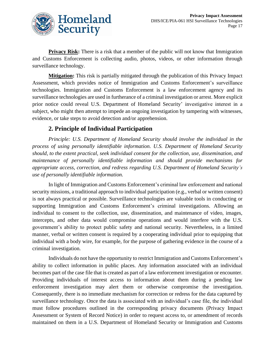

**Privacy Risk:** There is a risk that a member of the public will not know that Immigration and Customs Enforcement is collecting audio, photos, videos, or other information through surveillance technology.

**Mitigation:** This risk is partially mitigated through the publication of this Privacy Impact Assessment, which provides notice of Immigration and Customs Enforcement's surveillance technologies. Immigration and Customs Enforcement is a law enforcement agency and its surveillance technologies are used in furtherance of a criminal investigation or arrest. More explicit prior notice could reveal U.S. Department of Homeland Security' investigative interest in a subject, who might then attempt to impede an ongoing investigation by tampering with witnesses, evidence, or take steps to avoid detection and/or apprehension.

# **2. Principle of Individual Participation**

*Principle: U.S. Department of Homeland Security should involve the individual in the process of using personally identifiable information. U.S. Department of Homeland Security should, to the extent practical, seek individual consent for the collection, use, dissemination, and maintenance of personally identifiable information and should provide mechanisms for appropriate access, correction, and redress regarding U.S. Department of Homeland Security's use of personally identifiable information.*

In light of Immigration and Customs Enforcement's criminal law enforcement and national security missions, a traditional approach to individual participation (e.g., verbal or written consent) is not always practical or possible. Surveillance technologies are valuable tools in conducting or supporting Immigration and Customs Enforcement's criminal investigations. Allowing an individual to consent to the collection, use, dissemination, and maintenance of video, images, intercepts, and other data would compromise operations and would interfere with the U.S. government's ability to protect public safety and national security. Nevertheless, in a limited manner, verbal or written consent is required by a cooperating individual prior to equipping that individual with a body wire, for example, for the purpose of gathering evidence in the course of a criminal investigation.

Individuals do not have the opportunity to restrict Immigration and Customs Enforcement's ability to collect information in public places. Any information associated with an individual becomes part of the case file that is created as part of a law enforcement investigation or encounter. Providing individuals of interest access to information about them during a pending law enforcement investigation may alert them or otherwise compromise the investigation. Consequently, there is no immediate mechanism for correction or redress for the data captured by surveillance technology. Once the data is associated with an individual's case file, the individual must follow procedures outlined in the corresponding privacy documents (Privacy Impact Assessment or System of Record Notice) in order to request access to, or amendment of records maintained on them in a U.S. Department of Homeland Security or Immigration and Customs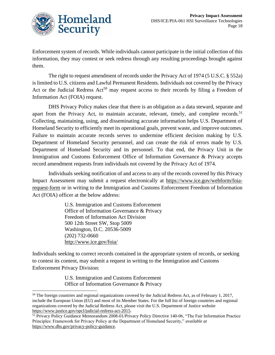

Enforcement system of records. While individuals cannot participate in the initial collection of this information, they may contest or seek redress through any resulting proceedings brought against them.

The right to request amendment of records under the Privacy Act of 1974 (5 U.S.C. § 552a) is limited to U.S. citizens and Lawful Permanent Residents. Individuals not covered by the Privacy Act or the Judicial Redress  $Act^{50}$  may request access to their records by filing a Freedom of Information Act (FOIA) request.

DHS Privacy Policy makes clear that there is an obligation as a data steward, separate and apart from the Privacy Act, to maintain accurate, relevant, timely, and complete records.<sup>51</sup> Collecting, maintaining, using, and disseminating accurate information helps U.S. Department of Homeland Security to efficiently meet its operational goals, prevent waste, and improve outcomes. Failure to maintain accurate records serves to undermine efficient decision making by U.S. Department of Homeland Security personnel, and can create the risk of errors made by U.S. Department of Homeland Security and its personnel. To that end, the Privacy Unit in the Immigration and Customs Enforcement Office of Information Governance & Privacy accepts record amendment requests from individuals not covered by the Privacy Act of 1974.

Individuals seeking notification of and access to any of the records covered by this Privacy Impact Assessment may submit a request electronically at https://www.ice.gov/webform/foiarequest-form or in writing to the Immigration and Customs Enforcement Freedom of Information Act (FOIA) officer at the below address:

> U.S. Immigration and Customs Enforcement Office of Information Governance & Privacy Freedom of Information Act Division 500 12th Street SW, Stop 5009 Washington, D.C. 20536-5009 (202) 732-0660 <http://www.ice.gov/foia/>

Individuals seeking to correct records contained in the appropriate system of records, or seeking to contest its content, may submit a request in writing to the Immigration and Customs Enforcement Privacy Division:

> U.S. Immigration and Customs Enforcement Office of Information Governance & Privacy

 $50$  The foreign countries and regional organizations covered by the Judicial Redress Act, as of February 1, 2017, include the European Union (EU) and most of its Member States. For the full list of foreign countries and regional organizations covered by the Judicial Redress Act, please visit the U.S. Department of Justice website [https://www.justice.gov/opcl/judicial-redress-act-2015.](https://www.justice.gov/opcl/judicial-redress-act-2015) 

<sup>51</sup> Privacy Policy Guidance Memorandum 2008-01/Privacy Policy Directive 140-06, "The Fair Information Practice Principles: Framework for Privacy Policy at the Department of Homeland Security," *available at* [https://www.dhs.gov/privacy-policy-guidance.](https://www.dhs.gov/privacy-policy-guidance)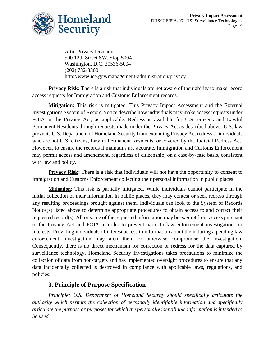

Attn: Privacy Division 500 12th Street SW, Stop 5004 Washington, D.C. 20536-5004 (202) 732-3300 <http://www.ice.gov/management-administration/privacy>

**Privacy Risk:** There is a risk that individuals are not aware of their ability to make record access requests for Immigration and Customs Enforcement records.

**Mitigation:** This risk is mitigated. This Privacy Impact Assessment and the External Investigations System of Record Notice describe how individuals may make access requests under FOIA or the Privacy Act, as applicable. Redress is available for U.S. citizens and Lawful Permanent Residents through requests made under the Privacy Act as described above. U.S. law prevents U.S. Department of Homeland Security from extending Privacy Act redress to individuals who are not U.S. citizens, Lawful Permanent Residents, or covered by the Judicial Redress Act. However, to ensure the records it maintains are accurate, Immigration and Customs Enforcement may permit access and amendment, regardless of citizenship, on a case-by-case basis, consistent with law and policy.

**Privacy Risk:** There is a risk that individuals will not have the opportunity to consent to Immigration and Customs Enforcement collecting their personal information in public places.

**Mitigation:** This risk is partially mitigated. While individuals cannot participate in the initial collection of their information in public places, they may contest or seek redress through any resulting proceedings brought against them. Individuals can look to the System of Records Notice(s) listed above to determine appropriate procedures to obtain access to and correct their requested record(s). All or some of the requested information may be exempt from access pursuant to the Privacy Act and FOIA in order to prevent harm to law enforcement investigations or interests. Providing individuals of interest access to information about them during a pending law enforcement investigation may alert them or otherwise compromise the investigation. Consequently, there is no direct mechanism for correction or redress for the data captured by surveillance technology. Homeland Security Investigations takes precautions to minimize the collection of data from non-targets and has implemented oversight procedures to ensure that any data incidentally collected is destroyed in compliance with applicable laws, regulations, and policies.

## **3. Principle of Purpose Specification**

*Principle: U.S. Department of Homeland Security should specifically articulate the authority which permits the collection of personally identifiable information and specifically articulate the purpose or purposes for which the personally identifiable information is intended to be used.*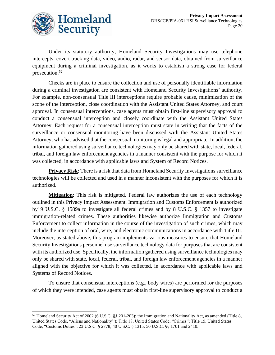

Under its statutory authority, Homeland Security Investigations may use telephone intercepts, covert tracking data, video, audio, radar, and sensor data, obtained from surveillance equipment during a criminal investigation, as it works to establish a strong case for federal prosecution. 52

Checks are in place to ensure the collection and use of personally identifiable information during a criminal investigation are consistent with Homeland Security Investigations' authority. For example, non-consensual Title III interceptions require probable cause, minimization of the scope of the interception, close coordination with the Assistant United States Attorney, and court approval. In consensual interceptions, case agents must obtain first-line supervisory approval to conduct a consensual interception and closely coordinate with the Assistant United States Attorney. Each request for a consensual interception must state in writing that the facts of the surveillance or consensual monitoring have been discussed with the Assistant United States Attorney, who has advised that the consensual monitoring is legal and appropriate. In addition, the information gathered using surveillance technologies may only be shared with state, local, federal, tribal, and foreign law enforcement agencies in a manner consistent with the purpose for which it was collected, in accordance with applicable laws and System of Record Notices.

**Privacy Risk**: There is a risk that data from Homeland Security Investigations surveillance technologies will be collected and used in a manner inconsistent with the purposes for which it is authorized.

**Mitigation**: This risk is mitigated. Federal law authorizes the use of each technology outlined in this Privacy Impact Assessment. Immigration and Customs Enforcement is authorized by19 U.S.C. § 1589a to investigate all federal crimes and by 8 U.S.C. § 1357 to investigate immigration-related crimes. These authorities likewise authorize Immigration and Customs Enforcement to collect information in the course of the investigation of such crimes, which may include the interception of oral, wire, and electronic communications in accordance with Title III. Moreover, as stated above, this program implements various measures to ensure that Homeland Security Investigations personnel use surveillance technology data for purposes that are consistent with its authorized use. Specifically, the information gathered using surveillance technologies may only be shared with state, local, federal, tribal, and foreign law enforcement agencies in a manner aligned with the objective for which it was collected, in accordance with applicable laws and Systems of Record Notices.

To ensure that consensual interceptions (e.g., body wires) are performed for the purposes of which they were intended, case agents must obtain first-line supervisory approval to conduct a

<sup>52</sup> Homeland Security Act of 2002 (6 U.S.C. §§ 201-203); the Immigration and Nationality Act, as amended (Title 8, United States Code, "Aliens and Nationality'"); Title 18, United States Code, "Crimes"; Title 19, United States Code, "Customs Duties"; 22 U.S.C. § 2778; 40 U.S.C. § 1315; 50 U.S.C. §§ 1701 and 2410.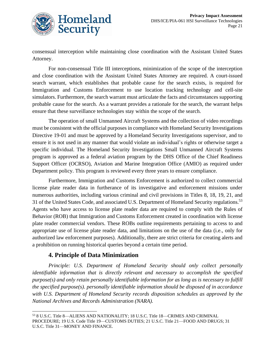

consensual interception while maintaining close coordination with the Assistant United States Attorney.

For non-consensual Title III interceptions, minimization of the scope of the interception and close coordination with the Assistant United States Attorney are required. A court-issued search warrant, which establishes that probable cause for the search exists, is required for Immigration and Customs Enforcement to use location tracking technology and cell-site simulators. Furthermore, the search warrant must articulate the facts and circumstances supporting probable cause for the search. As a warrant provides a rationale for the search, the warrant helps ensure that these surveillance technologies stay within the scope of the search.

The operation of small Unmanned Aircraft Systems and the collection of video recordings must be consistent with the official purposes in compliance with Homeland Security Investigations Directive 19-01 and must be approved by a Homeland Security Investigations supervisor, and to ensure it is not used in any manner that would violate an individual's rights or otherwise target a specific individual. The Homeland Security Investigations Small Unmanned Aircraft Systems program is approved as a federal aviation program by the DHS Office of the Chief Readiness Support Officer (OCRSO), Aviation and Marine Integration Office (AMIO) as required under Department policy. This program is reviewed every three years to ensure compliance.

Furthermore, Immigration and Customs Enforcement is authorized to collect commercial license plate reader data in furtherance of its investigative and enforcement missions under numerous authorities, including various criminal and civil provisions in Titles 8, 18, 19, 21, and 31 of the United States Code, and associated U.S. Department of Homeland Security regulations.<sup>53</sup> Agents who have access to license plate reader data are required to comply with the Rules of Behavior (ROB) that Immigration and Customs Enforcement created in coordination with license plate reader commercial vendors. These ROBs outline requirements pertaining to access to and appropriate use of license plate reader data, and limitations on the use of the data (i.e., only for authorized law enforcement purposes). Additionally, there are strict criteria for creating alerts and a prohibition on running historical queries beyond a certain time period.

## **4. Principle of Data Minimization**

*Principle: U.S. Department of Homeland Security should only collect personally identifiable information that is directly relevant and necessary to accomplish the specified purpose(s) and only retain personally identifiable information for as long as is necessary to fulfill the specified purpose(s). personally identifiable information should be disposed of in accordance with U.S. Department of Homeland Security records disposition schedules as approved by the National Archives and Records Administration (NARA).*

<sup>53</sup> 8 U.S.C. Title 8—ALIENS AND NATIONALITY; 18 U.S.C. Title 18—CRIMES AND CRIMINAL PROCEDURE; 19 U.S. Code Title 19—CUSTOMS DUTIES; 21 U.S.C. Title 21—FOOD AND DRUGS; 31 U.S.C. Title 31—MONEY AND FINANCE.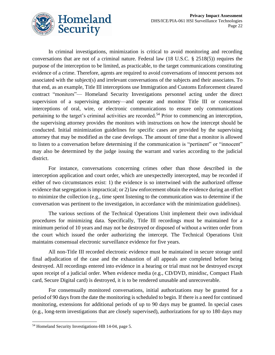

In criminal investigations, minimization is critical to avoid monitoring and recording conversations that are not of a criminal nature. Federal law (18 U.S.C. § 2518(5)) requires the purpose of the interception to be limited, as practicable, to the target communications constituting evidence of a crime. Therefore, agents are required to avoid conversations of innocent persons not associated with the subject(s) and irrelevant conversations of the subjects and their associates. To that end, as an example, Title III interceptions use Immigration and Customs Enforcement cleared contract "monitors"— Homeland Security Investigations personnel acting under the direct supervision of a supervising attorney—and operate and monitor Title III or consensual interceptions of oral, wire, or electronic communications to ensure only communications pertaining to the target's criminal activities are recorded.<sup>54</sup> Prior to commencing an interception, the supervising attorney provides the monitors with instructions on how the intercept should be conducted. Initial minimization guidelines for specific cases are provided by the supervising attorney that may be modified as the case develops. The amount of time that a monitor is allowed to listen to a conversation before determining if the communication is "pertinent" or "innocent" may also be determined by the judge issuing the warrant and varies according to the judicial district.

For instance, conversations concerning crimes other than those described in the interception application and court order, which are unexpectedly intercepted, may be recorded if either of two circumstances exist: 1) the evidence is so intertwined with the authorized offense evidence that segregation is impractical; or 2) law enforcement obtain the evidence during an effort to minimize the collection (e.g., time spent listening to the communication was to determine if the conversation was pertinent to the investigation, in accordance with the minimization guidelines).

The various sections of the Technical Operations Unit implement their own individual procedures for minimizing data. Specifically, Title III recordings must be maintained for a minimum period of 10 years and may not be destroyed or disposed of without a written order from the court which issued the order authorizing the intercept. The Technical Operations Unit maintains consensual electronic surveillance evidence for five years.

All non-Title III recorded electronic evidence must be maintained in secure storage until final adjudication of the case and the exhaustion of all appeals are completed before being destroyed. All recordings entered into evidence in a hearing or trial must not be destroyed except upon receipt of a judicial order. When evidence media (e.g., CD/DVD, minidisc, Compact Flash card, Secure Digital card) is destroyed, it is to be rendered unusable and unrecoverable.

For consensually monitored conversations, initial authorizations may be granted for a period of 90 days from the date the monitoring is scheduled to begin. If there is a need for continued monitoring, extensions for additional periods of up to 90 days may be granted. In special cases (e.g., long-term investigations that are closely supervised), authorizations for up to 180 days may

<sup>54</sup> Homeland Security Investigations-HB 14-04, page 5.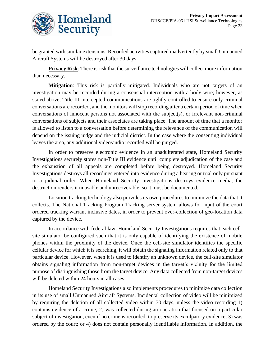

be granted with similar extensions. Recorded activities captured inadvertently by small Unmanned Aircraft Systems will be destroyed after 30 days.

**Privacy Risk:** There is risk that the surveillance technologies will collect more information than necessary.

**Mitigation**: This risk is partially mitigated. Individuals who are not targets of an investigation may be recorded during a consensual interception with a body wire; however, as stated above, Title III intercepted communications are tightly controlled to ensure only criminal conversations are recorded, and the monitors will stop recording after a certain period of time when conversations of innocent persons not associated with the subject(s), or irrelevant non-criminal conversations of subjects and their associates are taking place. The amount of time that a monitor is allowed to listen to a conversation before determining the relevance of the communication will depend on the issuing judge and the judicial district. In the case where the consenting individual leaves the area, any additional video/audio recorded will be purged.

In order to preserve electronic evidence in an unadulterated state, Homeland Security Investigations securely stores non-Title III evidence until complete adjudication of the case and the exhaustion of all appeals are completed before being destroyed. Homeland Security Investigations destroys all recordings entered into evidence during a hearing or trial only pursuant to a judicial order. When Homeland Security Investigations destroys evidence media, the destruction renders it unusable and unrecoverable, so it must be documented.

Location tracking technology also provides its own procedures to minimize the data that it collects. The National Tracking Program Tracking server system allows for input of the court ordered tracking warrant inclusive dates, in order to prevent over-collection of geo-location data captured by the device.

In accordance with federal law, Homeland Security Investigations requires that each cellsite simulator be configured such that it is only capable of identifying the existence of mobile phones within the proximity of the device. Once the cell-site simulator identifies the specific cellular device for which it is searching, it will obtain the signaling information related only to that particular device. However, when it is used to identify an unknown device, the cell-site simulator obtains signaling information from non-target devices in the target's vicinity for the limited purpose of distinguishing those from the target device. Any data collected from non-target devices will be deleted within 24 hours in all cases.

Homeland Security Investigations also implements procedures to minimize data collection in its use of small Unmanned Aircraft Systems. Incidental collection of video will be minimized by requiring the deletion of all collected video within 30 days, unless the video recording 1) contains evidence of a crime; 2) was collected during an operation that focused on a particular subject of investigation, even if no crime is recorded, to preserve its exculpatory evidence; 3) was ordered by the court; or 4) does not contain personally identifiable information. In addition, the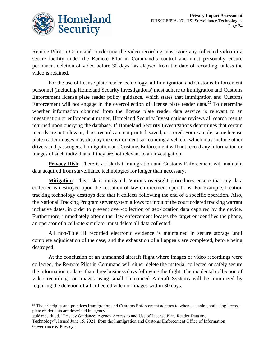

Remote Pilot in Command conducting the video recording must store any collected video in a secure facility under the Remote Pilot in Command's control and must personally ensure permanent deletion of video before 30 days has elapsed from the date of recording, unless the video is retained.

For the use of license plate reader technology, all Immigration and Customs Enforcement personnel (including Homeland Security Investigations) must adhere to Immigration and Customs Enforcement license plate reader policy guidance, which states that Immigration and Customs Enforcement will not engage in the overcollection of license plate reader data.<sup>55</sup> To determine whether information obtained from the license plate reader data service is relevant to an investigation or enforcement matter, Homeland Security Investigations reviews all search results returned upon querying the database. If Homeland Security Investigations determines that certain records are not relevant, those records are not printed, saved, or stored. For example, some license plate reader images may display the environment surrounding a vehicle, which may include other drivers and passengers. Immigration and Customs Enforcement will not record any information or images of such individuals if they are not relevant to an investigation.

**Privacy Risk:** There is a risk that Immigration and Customs Enforcement will maintain data acquired from surveillance technologies for longer than necessary.

**Mitigation**: This risk is mitigated. Various oversight procedures ensure that any data collected is destroyed upon the cessation of law enforcement operations. For example, location tracking technology destroys data that it collects following the end of a specific operation. Also, the National Tracking Program server system allows for input of the court ordered tracking warrant inclusive dates, in order to prevent over-collection of geo-location data captured by the device. Furthermore, immediately after either law enforcement locates the target or identifies the phone, an operator of a cell-site simulator must delete all data collected.

All non-Title III recorded electronic evidence is maintained in secure storage until complete adjudication of the case, and the exhaustion of all appeals are completed, before being destroyed.

At the conclusion of an unmanned aircraft flight where images or video recordings were collected, the Remote Pilot in Command will either delete the material collected or safely secure the information no later than three business days following the flight. The incidental collection of video recordings or images using small Unmanned Aircraft Systems will be minimized by requiring the deletion of all collected video or images within 30 days.

<sup>&</sup>lt;sup>55</sup> The principles and practices Immigration and Customs Enforcement adheres to when accessing and using license plate reader data are described in agency

guidance titled, "Privacy Guidance: Agency Access to and Use of License Plate Reader Data and Technology", issued June 15, 2021, from the Immigration and Customs Enforcement Office of Information Governance & Privacy.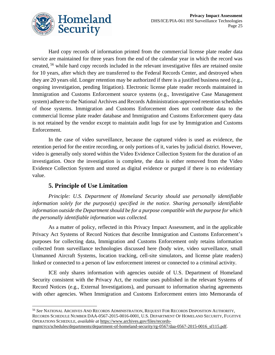

Hard copy records of information printed from the commercial license plate reader data service are maintained for three years from the end of the calendar year in which the record was created, <sup>56</sup> while hard copy records included in the relevant investigative files are retained onsite for 10 years, after which they are transferred to the Federal Records Center, and destroyed when they are 20 years old. Longer retention may be authorized if there is a justified business need (e.g., ongoing investigation, pending litigation). Electronic license plate reader records maintained in Immigration and Customs Enforcement source systems (e.g., Investigative Case Management system) adhere to the National Archives and Records Administration-approved retention schedules of those systems. Immigration and Customs Enforcement does not contribute data to the commercial license plate reader database and Immigration and Customs Enforcement query data is not retained by the vendor except to maintain audit logs for use by Immigration and Customs Enforcement.

In the case of video surveillance, because the captured video is used as evidence, the retention period for the entire recording, or only portions of it, varies by judicial district. However, video is generally only stored within the Video Evidence Collection System for the duration of an investigation. Once the investigation is complete, the data is either removed from the Video Evidence Collection System and stored as digital evidence or purged if there is no evidentiary value.

# **5. Principle of Use Limitation**

*Principle: U.S. Department of Homeland Security should use personally identifiable information solely for the purpose(s) specified in the notice. Sharing personally identifiable information outside the Department should be for a purpose compatible with the purpose for which the personally identifiable information was collected.*

As a matter of policy, reflected in this Privacy Impact Assessment, and in the applicable Privacy Act Systems of Record Notices that describe Immigration and Customs Enforcement's purposes for collecting data, Immigration and Customs Enforcement only retains information collected from surveillance technologies discussed here (body wire, video surveillance, small Unmanned Aircraft Systems, location tracking, cell-site simulators, and license plate readers) linked or connected to a person of law enforcement interest or connected to a criminal activity.

ICE only shares information with agencies outside of U.S. Department of Homeland Security consistent with the Privacy Act, the routine uses published in the relevant Systems of Record Notices (e.g., External Investigations), and pursuant to information sharing agreements with other agencies. When Immigration and Customs Enforcement enters into Memoranda of

<sup>56</sup> *See* NATIONAL ARCHIVES AND RECORDS ADMINISTRATION, REQUEST FOR RECORDS DISPOSITION AUTHORITY, RECORDS SCHEDULE NUMBER DAA-0567-2015-0016-0001, U.S. DEPARTMENT OF HOMELAND SECURITY, FUGITIVE OPERATIONS SCHEDULE, *available at* [https://www.archives.gov/files/records](https://www.archives.gov/files/records-mgmt/rcs/schedules/departments/department-of-homeland-security/rg-0567/daa-0567-2015-0016_sf115.pdf)[mgmt/rcs/schedules/departments/department-of-homeland-security/rg-0567/daa-0567-2015-0016\\_sf115.pdf.](https://www.archives.gov/files/records-mgmt/rcs/schedules/departments/department-of-homeland-security/rg-0567/daa-0567-2015-0016_sf115.pdf)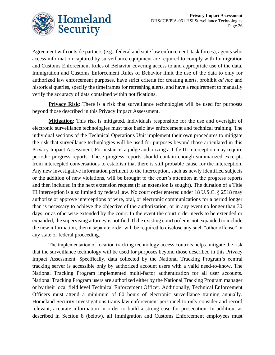Agreement with outside partners (e.g., federal and state law enforcement, task forces), agents who access information captured by surveillance equipment are required to comply with Immigration and Customs Enforcement Rules of Behavior covering access to and appropriate use of the data. Immigration and Customs Enforcement Rules of Behavior limit the use of the data to only for authorized law enforcement purposes, have strict criteria for creating alerts, prohibit *ad hoc* and historical queries, specify the timeframes for refreshing alerts, and have a requirement to manually verify the accuracy of data contained within notifications.

**Privacy Risk**: There is a risk that surveillance technologies will be used for purposes beyond those described in this Privacy Impact Assessment.

**Mitigation**: This risk is mitigated. Individuals responsible for the use and oversight of electronic surveillance technologies must take basic law enforcement and technical training. The individual sections of the Technical Operations Unit implement their own procedures to mitigate the risk that surveillance technologies will be used for purposes beyond those articulated in this Privacy Impact Assessment. For instance, a judge authorizing a Title III interception may require periodic progress reports. These progress reports should contain enough summarized excerpts from intercepted conversations to establish that there is still probable cause for the interception. Any new investigative information pertinent to the interception, such as newly identified subjects or the addition of new violations, will be brought to the court's attention in the progress reports and then included in the next extension request (if an extension is sought). The duration of a Title III interception is also limited by federal law. No court order entered under 18 U.S.C. § 2518 may authorize or approve interceptions of wire, oral, or electronic communications for a period longer than is necessary to achieve the objective of the authorization, or in any event no longer than 30 days, or as otherwise extended by the court. In the event the court order needs to be extended or expanded, the supervising attorney is notified. If the existing court order is not expanded to include the new information, then a separate order will be required to disclose any such "other offense" in any state or federal proceeding.

The implementation of location tracking technology access controls helps mitigate the risk that the surveillance technology will be used for purposes beyond those described in this Privacy Impact Assessment. Specifically, data collected by the National Tracking Program's central tracking server is accessible only by authorized account users with a valid need-to-know. The National Tracking Program implemented multi-factor authentication for all user accounts. National Tracking Program users are authorized either by the National Tracking Program manager or by their local field level Technical Enforcement Officer. Additionally, Technical Enforcement Officers must attend a minimum of 80 hours of electronic surveillance training annually. Homeland Security Investigations trains law enforcement personnel to only consider and record relevant, accurate information in order to build a strong case for prosecution. In addition, as described in Section 8 (below), all Immigration and Customs Enforcement employees must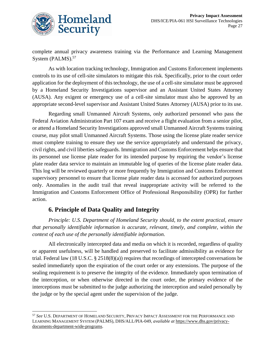

complete annual privacy awareness training via the Performance and Learning Management System (PALMS).<sup>57</sup>

As with location tracking technology, Immigration and Customs Enforcement implements controls to its use of cell-site simulators to mitigate this risk. Specifically, prior to the court order application for the deployment of this technology, the use of a cell-site simulator must be approved by a Homeland Security Investigations supervisor and an Assistant United States Attorney (AUSA). Any exigent or emergency use of a cell-site simulator must also be approved by an appropriate second-level supervisor and Assistant United States Attorney (AUSA) prior to its use.

Regarding small Unmanned Aircraft Systems, only authorized personnel who pass the Federal Aviation Administration Part 107 exam and receive a flight evaluation from a senior pilot, or attend a Homeland Security Investigations approved small Unmanned Aircraft Systems training course, may pilot small Unmanned Aircraft Systems. Those using the license plate reader service must complete training to ensure they use the service appropriately and understand the privacy, civil rights, and civil liberties safeguards. Immigration and Customs Enforcement helps ensure that its personnel use license plate reader for its intended purpose by requiring the vendor's license plate reader data service to maintain an immutable log of queries of the license plate reader data. This log will be reviewed quarterly or more frequently by Immigration and Customs Enforcement supervisory personnel to ensure that license plate reader data is accessed for authorized purposes only. Anomalies in the audit trail that reveal inappropriate activity will be referred to the Immigration and Customs Enforcement Office of Professional Responsibility (OPR) for further action.

# **6. Principle of Data Quality and Integrity**

*Principle: U.S. Department of Homeland Security should, to the extent practical, ensure that personally identifiable information is accurate, relevant, timely, and complete, within the context of each use of the personally identifiable information.*

All electronically intercepted data and media on which it is recorded, regardless of quality or apparent usefulness, will be handled and preserved to facilitate admissibility as evidence for trial. Federal law (18 U.S.C. § 2518(8)(a)) requires that recordings of intercepted conversations be sealed immediately upon the expiration of the court order or any extensions. The purpose of the sealing requirement is to preserve the integrity of the evidence. Immediately upon termination of the interception, or when otherwise directed in the court order, the primary evidence of the interceptions must be submitted to the judge authorizing the interception and sealed personally by the judge or by the special agent under the supervision of the judge.

<sup>57</sup> *See* U.S. DEPARTMENT OF HOMELAND SECURITY, PRIVACY IMPACT ASSESSMENT FOR THE PERFORMANCE AND LEARNING MANAGEMENT SYSTEM (PALMS), DHS/ALL/PIA-049, *available at* [https://www.dhs.gov/privacy](https://www.dhs.gov/privacy-documents-department-wide-programs)[documents-department-wide-programs.](https://www.dhs.gov/privacy-documents-department-wide-programs)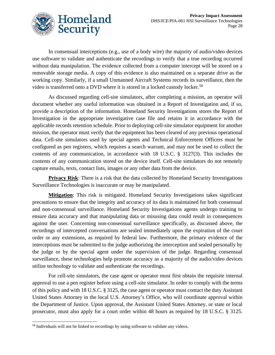

In consensual interceptions (e.g., use of a body wire) the majority of audio/video devices use software to validate and authenticate the recordings to verify that a true recording occurred without data manipulation. The evidence collected from a computer intercept will be stored on a removable storage media. A copy of this evidence is also maintained on a separate drive as the working copy. Similarly, if a small Unmanned Aircraft Systems records its surveillance, then the video is transferred onto a DVD where it is stored in a locked custody locker.<sup>58</sup>

As discussed regarding cell-site simulators, after completing a mission, an operator will document whether any useful information was obtained in a Report of Investigation and, if so, provide a description of the information. Homeland Security Investigations stores the Report of Investigation in the appropriate investigative case file and retains it in accordance with the applicable records retention schedule. Prior to deploying cell-site simulator equipment for another mission, the operator must verify that the equipment has been cleared of any previous operational data. Cell-site simulators used by special agents and Technical Enforcement Officers must be configured as pen registers, which requires a search warrant, and may not be used to collect the contents of any communication, in accordance with 18 U.S.C. § 3127(3). This includes the contents of any communication stored on the device itself. Cell-site simulators do not remotely capture emails, texts, contact lists, images or any other data from the device.

**Privacy Risk**: There is a risk that the data collected by Homeland Security Investigations Surveillance Technologies is inaccurate or may be manipulated.

**Mitigation**: This risk is mitigated. Homeland Security Investigations takes significant precautions to ensure that the integrity and accuracy of its data is maintained for both consensual and non-consensual surveillance. Homeland Security Investigations agents undergo training to ensure data accuracy and that manipulating data or misusing data could result in consequences against the user. Concerning non-consensual surveillance specifically, as discussed above, the recordings of intercepted conversations are sealed immediately upon the expiration of the court order or any extensions, as required by federal law. Furthermore, the primary evidence of the interceptions must be submitted to the judge authorizing the interception and sealed personally by the judge or by the special agent under the supervision of the judge. Regarding consensual surveillance, these technologies help promote accuracy as a majority of the audio/video devices utilize technology to validate and authenticate the recordings.

For cell-site simulators, the case agent or operator must first obtain the requisite internal approval to use a pen register before using a cell-site simulator. In order to comply with the terms of this policy and with 18 U.S.C. § 3125, the case agent or operator must contact the duty Assistant United States Attorney in the local U.S. Attorney's Office, who will coordinate approval within the Department of Justice. Upon approval, the Assistant United States Attorney, or state or local prosecutor, must also apply for a court order within 48 hours as required by 18 U.S.C. § 3125.

<sup>&</sup>lt;sup>58</sup> Individuals will not be linked to recordings by using software to validate any videos.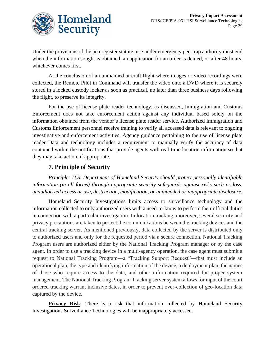

Under the provisions of the pen register statute, use under emergency pen-trap authority must end when the information sought is obtained, an application for an order is denied, or after 48 hours, whichever comes first.

At the conclusion of an unmanned aircraft flight where images or video recordings were collected, the Remote Pilot in Command will transfer the video onto a DVD where it is securely stored in a locked custody locker as soon as practical, no later than three business days following the flight, to preserve its integrity.

For the use of license plate reader technology, as discussed, Immigration and Customs Enforcement does not take enforcement action against any individual based solely on the information obtained from the vendor's license plate reader service. Authorized Immigration and Customs Enforcement personnel receive training to verify all accessed data is relevant to ongoing investigative and enforcement activities. Agency guidance pertaining to the use of license plate reader Data and technology includes a requirement to manually verify the accuracy of data contained within the notifications that provide agents with real-time location information so that they may take action, if appropriate.

# **7. Principle of Security**

*Principle: U.S. Department of Homeland Security should protect personally identifiable information (in all forms) through appropriate security safeguards against risks such as loss, unauthorized access or use, destruction, modification, or unintended or inappropriate disclosure.*

Homeland Security Investigations limits access to surveillance technology and the information collected to only authorized users with a need-to-know to perform their official duties in connection with a particular investigation. In location tracking, moreover, several security and privacy precautions are taken to protect the communications between the tracking devices and the central tracking server. As mentioned previously, data collected by the server is distributed only to authorized users and only for the requested period via a secure connection. National Tracking Program users are authorized either by the National Tracking Program manager or by the case agent. In order to use a tracking device in a multi-agency operation, the case agent must submit a request to National Tracking Program—a "Tracking Support Request"—that must include an operational plan, the type and identifying information of the device, a deployment plan, the names of those who require access to the data, and other information required for proper system management. The National Tracking Program Tracking server system allows for input of the court ordered tracking warrant inclusive dates, in order to prevent over-collection of geo-location data captured by the device.

**Privacy Risk:** There is a risk that information collected by Homeland Security Investigations Surveillance Technologies will be inappropriately accessed.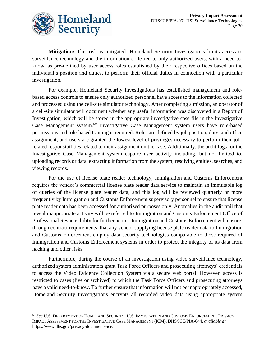

**Mitigation:** This risk is mitigated. Homeland Security Investigations limits access to surveillance technology and the information collected to only authorized users, with a need-toknow, as pre-defined by user access roles established by their respective offices based on the individual's position and duties, to perform their official duties in connection with a particular investigation.

For example, Homeland Security Investigations has established management and rolebased access controls to ensure only authorized personnel have access to the information collected and processed using the cell-site simulator technology. After completing a mission, an operator of a cell-site simulator will document whether any useful information was discovered in a Report of Investigation, which will be stored in the appropriate investigative case file in the Investigative Case Management system.<sup>59</sup> Investigative Case Management system users have role-based permissions and role-based training is required. Roles are defined by job position, duty, and office assignment, and users are granted the lowest level of privileges necessary to perform their jobrelated responsibilities related to their assignment on the case. Additionally, the audit logs for the Investigative Case Management system capture user activity including, but not limited to, uploading records or data, extracting information from the system, resolving entities, searches, and viewing records.

For the use of license plate reader technology, Immigration and Customs Enforcement requires the vendor's commercial license plate reader data service to maintain an immutable log of queries of the license plate reader data, and this log will be reviewed quarterly or more frequently by Immigration and Customs Enforcement supervisory personnel to ensure that license plate reader data has been accessed for authorized purposes only. Anomalies in the audit trail that reveal inappropriate activity will be referred to Immigration and Customs Enforcement Office of Professional Responsibility for further action. Immigration and Customs Enforcement will ensure, through contract requirements, that any vendor supplying license plate reader data to Immigration and Customs Enforcement employ data security technologies comparable to those required of Immigration and Customs Enforcement systems in order to protect the integrity of its data from hacking and other risks.

Furthermore, during the course of an investigation using video surveillance technology, authorized system administrators grant Task Force Officers and prosecuting attorneys' credentials to access the Video Evidence Collection System via a secure web portal. However, access is restricted to cases (live or archived) to which the Task Force Officers and prosecuting attorneys have a valid need-to-know. To further ensure that information will not be inappropriately accessed, Homeland Security Investigations encrypts all recorded video data using appropriate system

<sup>59</sup> *See* U.S. DEPARTMENT OF HOMELAND SECURITY, U.S. IMMIGRATION AND CUSTOMS ENFORCEMENT, PRIVACY IMPACT ASSESSMENT FOR THE INVESTIGATIVE CASE MANAGEMENT (ICM), DHS/ICE/PIA-044, *available at* [https://www.dhs.gov/privacy-documents-ice.](https://www.dhs.gov/privacy-documents-ice)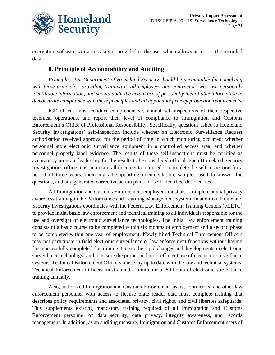

encryption software. An access key is provided to the user which allows access to the recorded data.

## **8. Principle of Accountability and Auditing**

*Principle: U.S. Department of Homeland Security should be accountable for complying with these principles, providing training to all employees and contractors who use personally identifiable information, and should audit the actual use of personally identifiable information to demonstrate compliance with these principles and all applicable privacy protection requirements.*

ICE offices must conduct comprehensive, annual self-inspections of their respective technical operations, and report their level of compliance to Immigration and Customs Enforcement's Office of Professional Responsibility. Specifically, questions asked in Homeland Security Investigations' self-inspection include whether an Electronic Surveillance Request authorization received approval for the period of time in which monitoring occurred; whether personnel store electronic surveillance equipment in a controlled access area; and whether personnel properly label evidence. The results of these self-inspections must be certified as accurate by program leadership for the results to be considered official. Each Homeland Security Investigations office must maintain all documentation used to complete the self-inspection for a period of three years, including all supporting documentation, samples used to answer the questions, and any generated corrective action plans for self-identified deficiencies.

All Immigration and Customs Enforcement employees must also complete annual privacy awareness training in the Performance and Learning Management System. In addition, Homeland Security Investigations coordinates with the Federal Law Enforcement Training Centers (FLETC) to provide initial basic law enforcement and technical training to all individuals responsible for the use and oversight of electronic surveillance technologies. The initial law enforcement training consists of a basic course to be completed within six months of employment and a second phase to be completed within one year of employment. Newly hired Technical Enforcement Officers may not participate in field electronic surveillance or law enforcement functions without having first successfully completed the training. Due to the rapid changes and developments in electronic surveillance technology, and to ensure the proper and most efficient use of electronic surveillance systems, Technical Enforcement Officers must stay up to date with the law and technical systems. Technical Enforcement Officers must attend a minimum of 80 hours of electronic surveillance training annually.

Also, authorized Immigration and Customs Enforcement users, contractors, and other law enforcement personnel with access to license plate reader data must complete training that describes policy requirements and associated privacy, civil rights, and civil liberties safeguards. This supplements existing mandatory training required of all Immigration and Customs Enforcement personnel on data security, data privacy, integrity awareness, and records management. In addition, as an auditing measure, Immigration and Customs Enforcement users of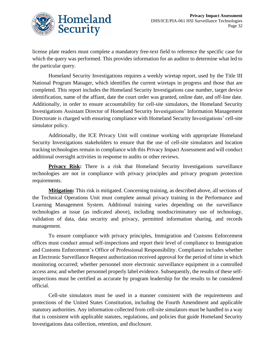

license plate readers must complete a mandatory free-text field to reference the specific case for which the query was performed. This provides information for an auditor to determine what led to the particular query.

Homeland Security Investigations requires a weekly wiretap report, used by the Title III National Program Manager, which identifies the current wiretaps in progress and those that are completed. This report includes the Homeland Security Investigations case number, target device identification, name of the affiant, date the court order was granted, online date, and off-line date. Additionally, in order to ensure accountability for cell-site simulators, the Homeland Security Investigations Assistant Director of Homeland Security Investigations' Information Management Directorate is charged with ensuring compliance with Homeland Security Investigations' cell-site simulator policy.

Additionally, the ICE Privacy Unit will continue working with appropriate Homeland Security Investigations stakeholders to ensure that the use of cell-site simulators and location tracking technologies remain in compliance with this Privacy Impact Assessment and will conduct additional oversight activities in response to audits or other reviews.

**Privacy Risk:** There is a risk that Homeland Security Investigations surveillance technologies are not in compliance with privacy principles and privacy program protection requirements.

**Mitigation:** This risk is mitigated. Concerning training, as described above, all sections of the Technical Operations Unit must complete annual privacy training in the Performance and Learning Management System. Additional training varies depending on the surveillance technologies at issue (as indicated above), including nondiscriminatory use of technology, validation of data, data security and privacy, permitted information sharing, and records management.

To ensure compliance with privacy principles, Immigration and Customs Enforcement offices must conduct annual self-inspections and report their level of compliance to Immigration and Customs Enforcement's Office of Professional Responsibility. Compliance includes whether an Electronic Surveillance Request authorization received approval for the period of time in which monitoring occurred; whether personnel store electronic surveillance equipment in a controlled access area; and whether personnel properly label evidence. Subsequently, the results of these selfinspections must be certified as accurate by program leadership for the results to be considered official.

Cell-site simulators must be used in a manner consistent with the requirements and protections of the United States Constitution, including the Fourth Amendment and applicable statutory authorities. Any information collected from cell-site simulators must be handled in a way that is consistent with applicable statutes, regulations, and policies that guide Homeland Security Investigations data collection, retention, and disclosure.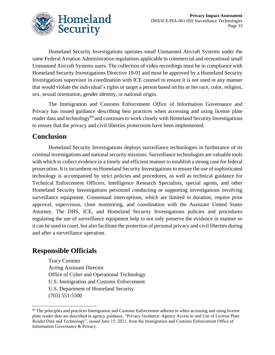

Homeland Security Investigations operates small Unmanned Aircraft Systems under the same Federal Aviation Administration regulations applicable to commercial and recreational small Unmanned Aircraft Systems users. The collection of video recordings must be in compliance with Homeland Security Investigations Directive 19-01 and must be approved by a Homeland Security Investigations supervisor in coordination with ICE counsel to ensure it is not used in any manner that would violate the individual's rights or target a person based on his or her race, color, religion, sex, sexual orientation, gender identity, or national origin.

The Immigration and Customs Enforcement Office of Information Governance and Privacy has issued guidance describing best practices when accessing and using license plate reader data and technology<sup>60</sup> and continues to work closely with Homeland Security Investigations to ensure that the privacy and civil liberties protections have been implemented.

# **Conclusion**

Homeland Security Investigations deploys surveillance technologies in furtherance of its criminal investigations and national security missions. Surveillance technologies are valuable tools with which to collect evidence in a timely and efficient manner to establish a strong case for federal prosecution. It is incumbent on Homeland Security Investigations to ensure the use of sophisticated technology is accompanied by strict policies and procedures, as well as technical guidance for Technical Enforcement Officers, Intelligence Research Specialists, special agents, and other Homeland Security Investigations personnel conducting or supporting investigations involving surveillance equipment. Consensual interceptions, which are limited in duration, require prior approval, supervision, close monitoring, and coordination with the Assistant United States Attorney. The DHS, ICE, and Homeland Security Investigations policies and procedures regulating the use of surveillance equipment help to not only preserve the evidence in manner so it can be used in court, but also facilitate the protection of personal privacy and civil liberties during and after a surveillance operation.

# **Responsible Officials**

Tracy Cormier Acting Assistant Director Office of Cyber and Operational Technology U.S. Immigration and Customs Enforcement U.S. Department of Homeland Security (703) 551-5500

<sup>&</sup>lt;sup>60</sup> The principles and practices Immigration and Customs Enforcement adheres to when accessing and using license plate reader data are described in agency guidance, "Privacy Guidance: Agency Access to and Use of License Plate Reader Data and Technology", issued June 15, 2021, from the Immigration and Customs Enforcement Office of Information Governance & Privacy.